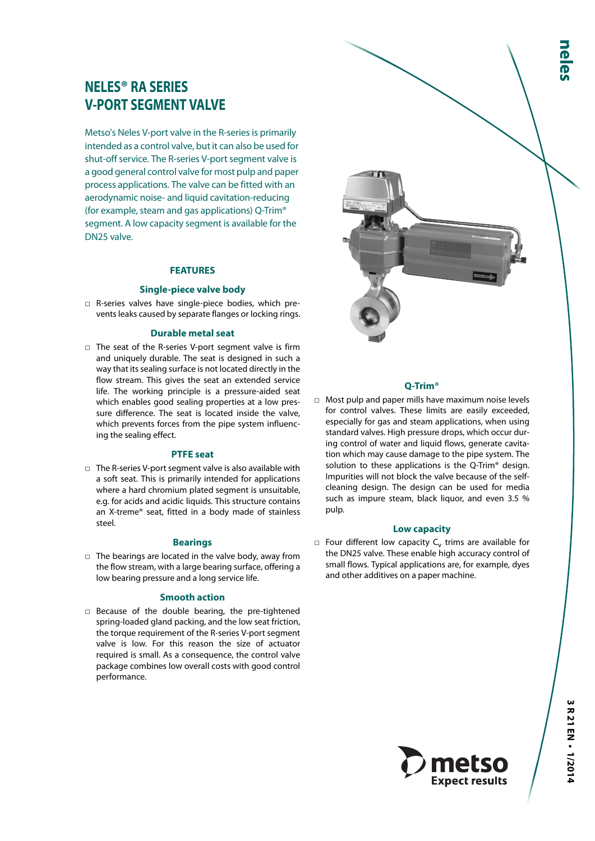# **NELES® RA SERIES V-PORT SEGMENT VALVE**

Metso's Neles V-port valve in the R-series is primarily intended as a control valve, but it can also be used for shut-off service. The R-series V-port segment valve is a good general control valve for most pulp and paper process applications. The valve can be fitted with an aerodynamic noise- and liquid cavitation-reducing (for example, steam and gas applications) Q-Trim® segment. A low capacity segment is available for the DN25 valve.

#### **FEATURES**

#### **Single-piece valve body**

□ R-series valves have single-piece bodies, which prevents leaks caused by separate flanges or locking rings.

#### **Durable metal seat**

□ The seat of the R-series V-port segment valve is firm and uniquely durable. The seat is designed in such a way that its sealing surface is not located directly in the flow stream. This gives the seat an extended service life. The working principle is a pressure-aided seat which enables good sealing properties at a low pressure difference. The seat is located inside the valve, which prevents forces from the pipe system influencing the sealing effect.

## **PTFE seat**

□ The R-series V-port segment valve is also available with a soft seat. This is primarily intended for applications where a hard chromium plated segment is unsuitable, e.g. for acids and acidic liquids. This structure contains an X-treme® seat, fitted in a body made of stainless steel.

#### **Bearings**

□ The bearings are located in the valve body, away from the flow stream, with a large bearing surface, offering a low bearing pressure and a long service life.

#### **Smooth action**

□ Because of the double bearing, the pre-tightened spring-loaded gland packing, and the low seat friction, the torque requirement of the R-series V-port segment valve is low. For this reason the size of actuator required is small. As a consequence, the control valve package combines low overall costs with good control performance.



#### **Q-Trim®**

□ Most pulp and paper mills have maximum noise levels for control valves. These limits are easily exceeded, especially for gas and steam applications, when using standard valves. High pressure drops, which occur during control of water and liquid flows, generate cavitation which may cause damage to the pipe system. The solution to these applications is the Q-Trim® design. Impurities will not block the valve because of the selfcleaning design. The design can be used for media such as impure steam, black liquor, and even 3.5 % pulp.

#### **Low capacity**

 $\Box$  Four different low capacity C<sub>v</sub> trims are available for the DN25 valve. These enable high accuracy control of small flows. Typical applications are, for example, dyes and other additives on a paper machine.

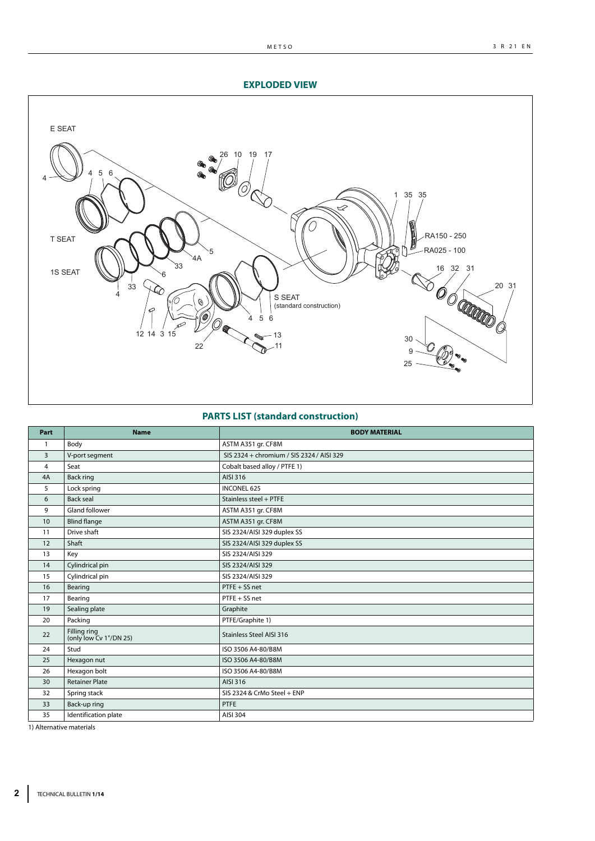## **EXPLODED VIEW**



## **PARTS LIST (standard construction)**

| Part         | <b>Name</b>                            | <b>BODY MATERIAL</b>                      |
|--------------|----------------------------------------|-------------------------------------------|
| $\mathbf{1}$ | Body                                   | ASTM A351 gr. CF8M                        |
| 3            | V-port segment                         | SIS 2324 + chromium / SIS 2324 / AISI 329 |
| 4            | Seat                                   | Cobalt based alloy / PTFE 1)              |
| 4A           | <b>Back ring</b>                       | AISI 316                                  |
| 5            | Lock spring                            | <b>INCONEL 625</b>                        |
| 6            | Back seal                              | Stainless steel + PTFE                    |
| 9            | <b>Gland follower</b>                  | ASTM A351 gr. CF8M                        |
| 10           | <b>Blind flange</b>                    | ASTM A351 gr. CF8M                        |
| 11           | Drive shaft                            | SIS 2324/AISI 329 duplex SS               |
| 12           | Shaft                                  | SIS 2324/AISI 329 duplex SS               |
| 13           | Key                                    | SIS 2324/AISI 329                         |
| 14           | Cylindrical pin                        | SIS 2324/AISI 329                         |
| 15           | Cylindrical pin                        | SIS 2324/AISI 329                         |
| 16           | Bearing                                | PTFE + SS net                             |
| 17           | Bearing                                | PTFE + SS net                             |
| 19           | Sealing plate                          | Graphite                                  |
| 20           | Packing                                | PTFE/Graphite 1)                          |
| 22           | Filling ring<br>(only low Cv 1"/DN 25) | <b>Stainless Steel AISI 316</b>           |
| 24           | Stud                                   | ISO 3506 A4-80/B8M                        |
| 25           | Hexagon nut                            | ISO 3506 A4-80/B8M                        |
| 26           | Hexagon bolt                           | ISO 3506 A4-80/B8M                        |
| 30           | <b>Retainer Plate</b>                  | AISI 316                                  |
| 32           | Spring stack                           | SIS 2324 & CrMo Steel + ENP               |
| 33           | Back-up ring                           | PTFE                                      |
| 35           | Identification plate                   | AISI 304                                  |

1) Alternative materials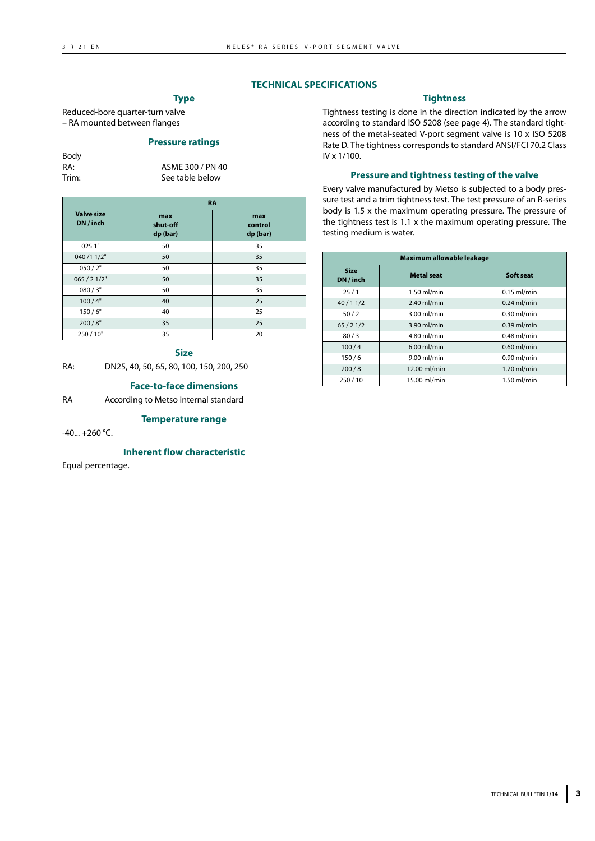## **TECHNICAL SPECIFICATIONS**

## **Type**

Reduced-bore quarter-turn valve – RA mounted between flanges

## **Pressure ratings**

Body

RA: ASME 300 / PN 40 Trim: See table below

|                                | <b>RA</b>                   |                            |
|--------------------------------|-----------------------------|----------------------------|
| <b>Valve size</b><br>DN / inch | max<br>shut-off<br>dp (bar) | max<br>control<br>dp (bar) |
| 0251"                          | 50                          | 35                         |
| 040 /1 1/2"                    | 50                          | 35                         |
| 050/2"                         | 50                          | 35                         |
| 065 / 21/2"                    | 50                          | 35                         |
| 080/3"                         | 50                          | 35                         |
| 100/4"                         | 40                          | 25                         |
| 150/6"                         | 40                          | 25                         |
| 200/8"                         | 35                          | 25                         |
| 250/10"                        | 35                          | 20                         |

#### **Size**

RA: DN25, 40, 50, 65, 80, 100, 150, 200, 250

## **Face-to-face dimensions**

RA According to Metso internal standard

#### **Temperature range**

 $-40... +260$  °C.

#### **Inherent flow characteristic**

Equal percentage.

## **Tightness**

Tightness testing is done in the direction indicated by the arrow according to standard ISO 5208 (see page 4). The standard tightness of the metal-seated V-port segment valve is 10 x ISO 5208 Rate D. The tightness corresponds to standard ANSI/FCI 70.2 Class IV x 1/100.

#### **Pressure and tightness testing of the valve**

Every valve manufactured by Metso is subjected to a body pressure test and a trim tightness test. The test pressure of an R-series body is 1.5 x the maximum operating pressure. The pressure of the tightness test is 1.1 x the maximum operating pressure. The testing medium is water.

|                          | Maximum allowable leakage |               |
|--------------------------|---------------------------|---------------|
| <b>Size</b><br>DN / inch | Metal seat                | Soft seat     |
| 25/1                     | $1.50$ ml/min             | $0.15$ ml/min |
| 40/11/2                  | $2.40$ ml/min             | $0.24$ ml/min |
| 50/2                     | $3.00$ ml/min             | $0.30$ ml/min |
| 65/21/2                  | 3.90 ml/min               | $0.39$ ml/min |
| 80/3                     | 4.80 ml/min               | $0.48$ ml/min |
| 100/4                    | $6.00$ ml/min             | $0.60$ ml/min |
| 150/6                    | $9.00$ ml/min             | $0.90$ ml/min |
| 200/8                    | 12.00 ml/min              | $1.20$ ml/min |
| 250/10                   | 15.00 ml/min              | $1.50$ ml/min |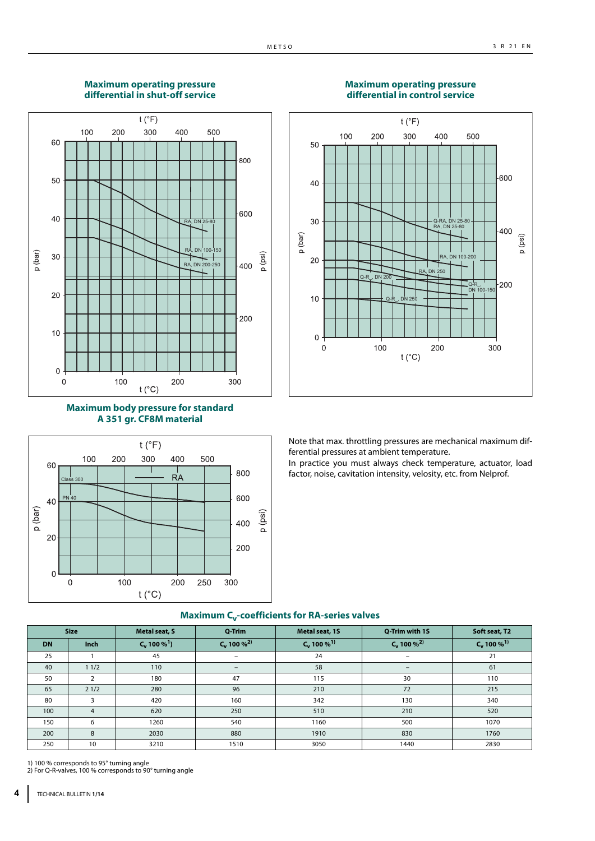## **Maximum operating pressure differential in shut-off service**











Note that max. throttling pressures are mechanical maximum differential pressures at ambient temperature.

In practice you must always check temperature, actuator, load factor, noise, cavitation intensity, velosity, etc. from Nelprof.

|           | <b>Size</b>    | <b>Metal seat, S</b> | Q-Trim                    | Metal seat, 1S            | Q-Trim with 1S            | Soft seat, T2             |
|-----------|----------------|----------------------|---------------------------|---------------------------|---------------------------|---------------------------|
| <b>DN</b> | <b>Inch</b>    | $C_v 100 %1$         | $C_v$ 100 % <sup>2)</sup> | $C_v$ 100 % <sup>1)</sup> | $C_v$ 100 % <sup>2)</sup> | $C_v$ 100 % <sup>1)</sup> |
| 25        |                | 45                   | $\qquad \qquad$           | 24                        | $\overline{\phantom{a}}$  | 21                        |
| 40        | 11/2           | 110                  | $\qquad \qquad -$         | 58                        | $\qquad \qquad -$         | 61                        |
| 50        | $\mathcal{P}$  | 180                  | 47                        | 115                       | 30                        | 110                       |
| 65        | 21/2           | 280                  | 96                        | 210                       | 72                        | 215                       |
| 80        | 3              | 420                  | 160                       | 342                       | 130                       | 340                       |
| 100       | $\overline{4}$ | 620                  | 250                       | 510                       | 210                       | 520                       |
| 150       | 6              | 1260                 | 540                       | 1160                      | 500                       | 1070                      |
| 200       | 8              | 2030                 | 880                       | 1910                      | 830                       | 1760                      |
| 250       | 10             | 3210                 | 1510                      | 3050                      | 1440                      | 2830                      |

## **Maximum C<sub>v</sub>-coefficients for RA-series valves**

1) 100 % corresponds to 95° turning angle 2) For Q-R-valves, 100 % corresponds to 90° turning angle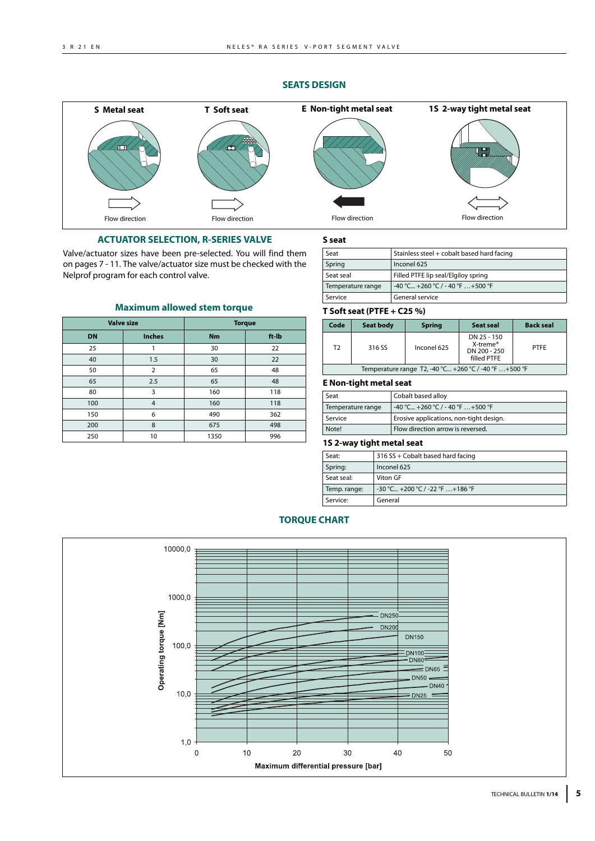## **SEATS DESIGN**



**S seat**

## **ACTUATOR SELECTION, R-SERIES VALVE**

Valve/actuator sizes have been pre-selected. You will find them on pages 7 - 11. The valve/actuator size must be checked with the Nelprof program for each control valve.

|           | <b>Valve size</b> |           | <b>Torque</b> |
|-----------|-------------------|-----------|---------------|
| <b>DN</b> | <b>Inches</b>     | <b>Nm</b> | ft-lb         |
| 25        |                   | 30        | 22            |
| 40        | 1.5               | 30        | 22            |
| 50        | 2                 | 65        | 48            |
| 65        | 2.5               | 65        | 48            |
| 80        | 3                 | 160       | 118           |
| 100       | $\overline{4}$    | 160       | 118           |
| 150       | 6                 | 490       | 362           |
| 200       | 8                 | 675       | 498           |
| 250       | 10                | 1350      | 996           |

#### **Maximum allowed stem torque**

## Temperature range  $-40$  °C... +260 °C / - 40 °F ... +500 °F Service General service

Spring | Inconel 625

#### **T Soft seat (PTFE + C25 %) Code** Seat body Spring Seat seal Back seal T2 316 SS | Inconel 625 DN 25 - 150 X-treme® DN 200 - 250 filled PTFE PTFE Temperature range T2, -40 °C... +260 °C / -40 °F …+500 °F

Seat Stainless steel + cobalt based hard facing

Seat seal Filled PTFE lip seal/Elgiloy spring

#### **E Non-tight metal seat**

| Seat              | Cobalt based alloy                      |
|-------------------|-----------------------------------------|
| Temperature range | $-40$ °C +260 °C / - 40 °F  +500 °F     |
| Service           | Erosive applications, non-tight design. |
| Note!             | Flow direction arrow is reversed.       |

## **1S 2-way tight metal seat**

| Seat:        | 316 SS + Cobalt based hard facing       |
|--------------|-----------------------------------------|
| Spring:      | Inconel 625                             |
| Seat seal:   | Viton GF                                |
| Temp. range: | $-30$ °C $+200$ °C / $-22$ °F $+186$ °F |
| Service:     | General                                 |

## **TORQUE CHART**

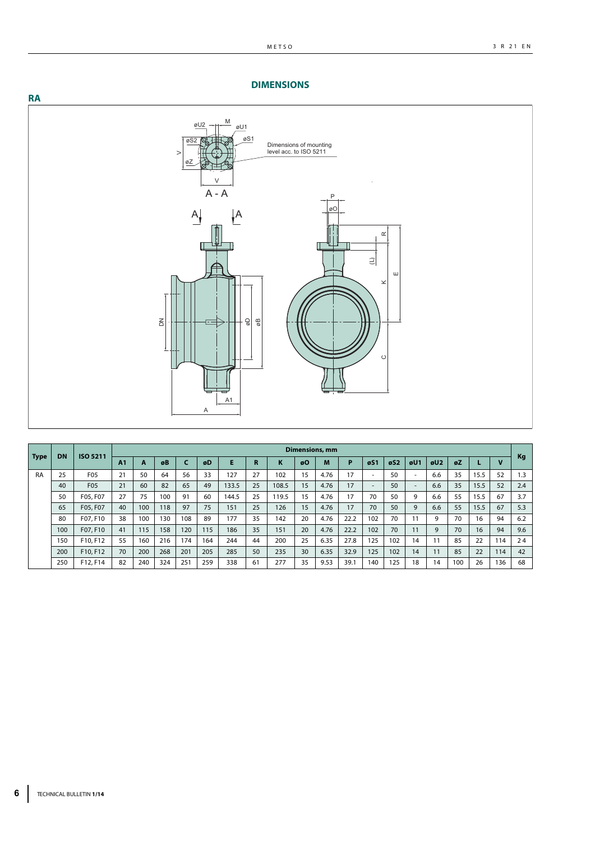## **DIMENSIONS**



|             |           |                      |                |     | 줌   |              | Α   | A1    | g<br>ФB     |            |          |                       |              | $\circ$                  |                                |                          |     |    |          |              |          |
|-------------|-----------|----------------------|----------------|-----|-----|--------------|-----|-------|-------------|------------|----------|-----------------------|--------------|--------------------------|--------------------------------|--------------------------|-----|----|----------|--------------|----------|
|             |           |                      |                |     |     |              |     |       |             |            |          | <b>Dimensions, mm</b> |              |                          |                                |                          |     |    |          |              |          |
| <b>Type</b> | <b>DN</b> | ISO 5211             | A <sub>1</sub> | A   | øB  | $\mathsf{C}$ | øD  | E     | $\mathbf R$ | K          | øO       | M                     | P            | $\sigma$ S1              | $\boldsymbol{\mathfrak{g}}$ S2 | øU1                      | øU2 | øZ | L        | $\mathbf{v}$ | Kg       |
| <b>RA</b>   | 25        | F05                  | 21             | 50  | 64  | 56           | 33  |       | 27          | 102        |          |                       | 17           |                          |                                | $\sim$                   |     |    | 15.5     | 52           | 1.3      |
|             |           |                      |                |     |     |              |     | 127   |             |            | 15       | 4.76                  |              | $\overline{\phantom{a}}$ | 50                             |                          | 6.6 | 35 |          |              |          |
|             | 40        | F05                  | 21             | 60  | 82  | 65           | 49  | 133.5 | 25          | 108.5      | 15       | 4.76                  | 17           | $\overline{\phantom{a}}$ | 50                             | $\overline{\phantom{a}}$ | 6.6 | 35 | 15.5     | 52           | 2.4      |
|             | 50        | F05, F07             | 27             | 75  | 100 | 91           | 60  | 144.5 | 25          | 119.5      | 15       | 4.76                  | 17           | 70                       | 50                             | 9                        | 6.6 | 55 | 15.5     | 67           | 3.7      |
|             | 65        | F05, F07             | 40             | 100 | 118 | 97           | 75  | 151   | 25          | 126        | 15       | 4.76                  | 17           | 70                       | 50                             | 9                        | 6.6 | 55 | 15.5     | 67           | 5.3      |
|             | 80        | F07, F10             | 38             | 100 | 130 | 108          | 89  | 177   | 35          | 142        | 20       | 4.76                  | 22.2         | 102                      | 70                             | 11                       | 9   | 70 | 16       | 94           | 6.2      |
|             | 100       | F07, F10             | 41             | 115 | 158 | 120          | 115 | 186   | 35          | 151        | 20       | 4.76                  | 22.2         | 102                      | 70                             | 11                       | 9   | 70 | 16       | 94           | 9.6      |
|             | 150       | F10, F12             | 55             | 160 | 216 | 174          | 164 | 244   | 44          | 200        | 25       | 6.35                  | 27.8         | 125                      | 102                            | 14                       | 11  | 85 | 22       | 114          | 24       |
|             | 200       | F10, F12<br>F12, F14 | 70<br>82       | 200 | 268 | 201          | 205 | 285   | 50          | 235<br>277 | 30<br>35 | 6.35<br>9.53          | 32.9<br>39.1 | 125                      | 102<br>125                     | 14                       | 11  | 85 | 22<br>26 | 114          | 42<br>68 |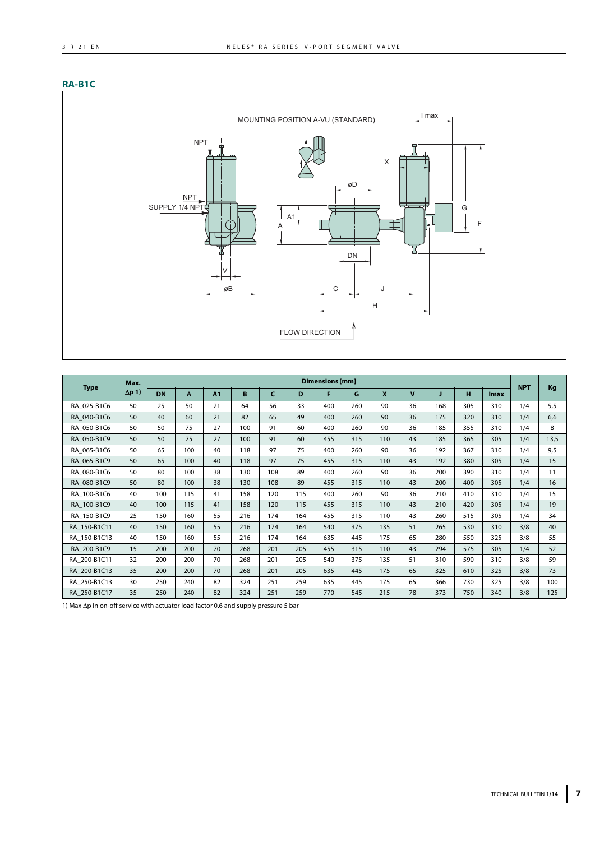## **RA-B1C**



|              | Max.          |           |     |    |     |            |     | <b>Dimensions</b> [mm] |     |              |             |     |     |             | <b>NPT</b> |      |
|--------------|---------------|-----------|-----|----|-----|------------|-----|------------------------|-----|--------------|-------------|-----|-----|-------------|------------|------|
| <b>Type</b>  | $\Delta p$ 1) | <b>DN</b> | A   | A1 | B   | $\epsilon$ | D   | F                      | G   | $\mathbf{x}$ | $\mathbf v$ | J   | н   | <b>Imax</b> |            | Kg   |
| RA 025-B1C6  | 50            | 25        | 50  | 21 | 64  | 56         | 33  | 400                    | 260 | 90           | 36          | 168 | 305 | 310         | 1/4        | 5,5  |
| RA 040-B1C6  | 50            | 40        | 60  | 21 | 82  | 65         | 49  | 400                    | 260 | 90           | 36          | 175 | 320 | 310         | 1/4        | 6,6  |
| RA_050-B1C6  | 50            | 50        | 75  | 27 | 100 | 91         | 60  | 400                    | 260 | 90           | 36          | 185 | 355 | 310         | 1/4        | 8    |
| RA 050-B1C9  | 50            | 50        | 75  | 27 | 100 | 91         | 60  | 455                    | 315 | 110          | 43          | 185 | 365 | 305         | 1/4        | 13,5 |
| RA 065-B1C6  | 50            | 65        | 100 | 40 | 118 | 97         | 75  | 400                    | 260 | 90           | 36          | 192 | 367 | 310         | 1/4        | 9,5  |
| RA 065-B1C9  | 50            | 65        | 100 | 40 | 118 | 97         | 75  | 455                    | 315 | 110          | 43          | 192 | 380 | 305         | 1/4        | 15   |
| RA 080-B1C6  | 50            | 80        | 100 | 38 | 130 | 108        | 89  | 400                    | 260 | 90           | 36          | 200 | 390 | 310         | 1/4        | 11   |
| RA 080-B1C9  | 50            | 80        | 100 | 38 | 130 | 108        | 89  | 455                    | 315 | 110          | 43          | 200 | 400 | 305         | 1/4        | 16   |
| RA 100-B1C6  | 40            | 100       | 115 | 41 | 158 | 120        | 115 | 400                    | 260 | 90           | 36          | 210 | 410 | 310         | 1/4        | 15   |
| RA 100-B1C9  | 40            | 100       | 115 | 41 | 158 | 120        | 115 | 455                    | 315 | 110          | 43          | 210 | 420 | 305         | 1/4        | 19   |
| RA_150-B1C9  | 25            | 150       | 160 | 55 | 216 | 174        | 164 | 455                    | 315 | 110          | 43          | 260 | 515 | 305         | 1/4        | 34   |
| RA_150-B1C11 | 40            | 150       | 160 | 55 | 216 | 174        | 164 | 540                    | 375 | 135          | 51          | 265 | 530 | 310         | 3/8        | 40   |
| RA 150-B1C13 | 40            | 150       | 160 | 55 | 216 | 174        | 164 | 635                    | 445 | 175          | 65          | 280 | 550 | 325         | 3/8        | 55   |
| RA 200-B1C9  | 15            | 200       | 200 | 70 | 268 | 201        | 205 | 455                    | 315 | 110          | 43          | 294 | 575 | 305         | 1/4        | 52   |
| RA 200-B1C11 | 32            | 200       | 200 | 70 | 268 | 201        | 205 | 540                    | 375 | 135          | 51          | 310 | 590 | 310         | 3/8        | 59   |
| RA_200-B1C13 | 35            | 200       | 200 | 70 | 268 | 201        | 205 | 635                    | 445 | 175          | 65          | 325 | 610 | 325         | 3/8        | 73   |
| RA 250-B1C13 | 30            | 250       | 240 | 82 | 324 | 251        | 259 | 635                    | 445 | 175          | 65          | 366 | 730 | 325         | 3/8        | 100  |
| RA 250-B1C17 | 35            | 250       | 240 | 82 | 324 | 251        | 259 | 770                    | 545 | 215          | 78          | 373 | 750 | 340         | 3/8        | 125  |

1) Max  $\Delta p$  in on-off service with actuator load factor 0.6 and supply pressure 5 bar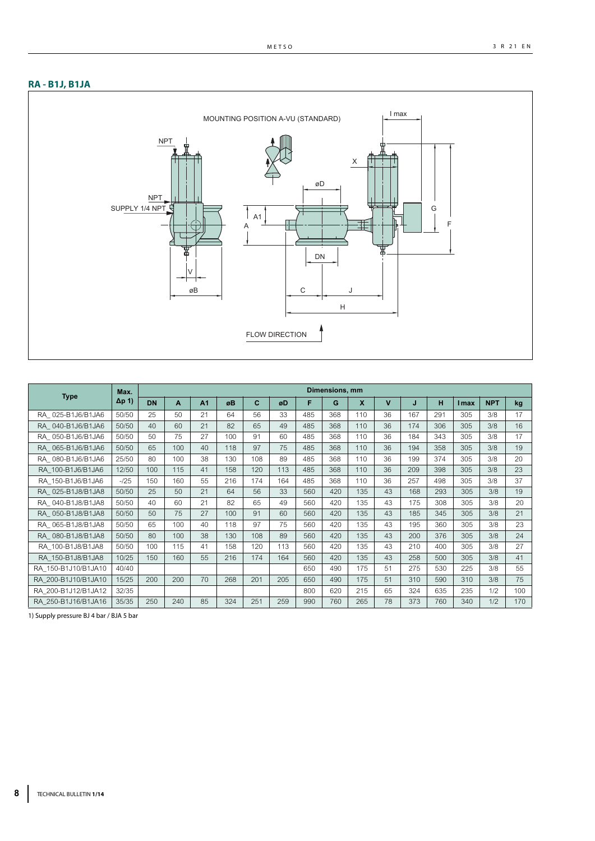## **RA - B1J, B1JA**



|                     | Max.          |           |     |                |     |     |     |     | Dimensions, mm |             |             |     |     |              |            |     |
|---------------------|---------------|-----------|-----|----------------|-----|-----|-----|-----|----------------|-------------|-------------|-----|-----|--------------|------------|-----|
| <b>Type</b>         | $\Delta p$ 1) | <b>DN</b> | A   | A <sub>1</sub> | øB  | C   | øD  | F   | G              | $\mathbf x$ | $\mathbf v$ | J   | н   | <b>I</b> max | <b>NPT</b> | kg  |
| RA 025-B1J6/B1JA6   | 50/50         | 25        | 50  | 21             | 64  | 56  | 33  | 485 | 368            | 110         | 36          | 167 | 291 | 305          | 3/8        | 17  |
| RA 040-B1J6/B1JA6   | 50/50         | 40        | 60  | 21             | 82  | 65  | 49  | 485 | 368            | 110         | 36          | 174 | 306 | 305          | 3/8        | 16  |
| RA 050-B1J6/B1JA6   | 50/50         | 50        | 75  | 27             | 100 | 91  | 60  | 485 | 368            | 110         | 36          | 184 | 343 | 305          | 3/8        | 17  |
| RA 065-B1J6/B1JA6   | 50/50         | 65        | 100 | 40             | 118 | 97  | 75  | 485 | 368            | 110         | 36          | 194 | 358 | 305          | 3/8        | 19  |
| RA 080-B1J6/B1JA6   | 25/50         | 80        | 100 | 38             | 130 | 108 | 89  | 485 | 368            | 110         | 36          | 199 | 374 | 305          | 3/8        | 20  |
| RA 100-B1J6/B1JA6   | 12/50         | 100       | 115 | 41             | 158 | 120 | 113 | 485 | 368            | 110         | 36          | 209 | 398 | 305          | 3/8        | 23  |
| RA 150-B1J6/B1JA6   | $-125$        | 150       | 160 | 55             | 216 | 174 | 164 | 485 | 368            | 110         | 36          | 257 | 498 | 305          | 3/8        | 37  |
| RA 025-B1J8/B1JA8   | 50/50         | 25        | 50  | 21             | 64  | 56  | 33  | 560 | 420            | 135         | 43          | 168 | 293 | 305          | 3/8        | 19  |
| RA 040-B1J8/B1JA8   | 50/50         | 40        | 60  | 21             | 82  | 65  | 49  | 560 | 420            | 135         | 43          | 175 | 308 | 305          | 3/8        | 20  |
| RA 050-B1J8/B1JA8   | 50/50         | 50        | 75  | 27             | 100 | 91  | 60  | 560 | 420            | 135         | 43          | 185 | 345 | 305          | 3/8        | 21  |
| RA 065-B1J8/B1JA8   | 50/50         | 65        | 100 | 40             | 118 | 97  | 75  | 560 | 420            | 135         | 43          | 195 | 360 | 305          | 3/8        | 23  |
| RA 080-B1J8/B1JA8   | 50/50         | 80        | 100 | 38             | 130 | 108 | 89  | 560 | 420            | 135         | 43          | 200 | 376 | 305          | 3/8        | 24  |
| RA 100-B1J8/B1JA8   | 50/50         | 100       | 115 | 41             | 158 | 120 | 113 | 560 | 420            | 135         | 43          | 210 | 400 | 305          | 3/8        | 27  |
| RA 150-B1J8/B1JA8   | 10/25         | 150       | 160 | 55             | 216 | 174 | 164 | 560 | 420            | 135         | 43          | 258 | 500 | 305          | 3/8        | 41  |
| RA 150-B1J10/B1JA10 | 40/40         |           |     |                |     |     |     | 650 | 490            | 175         | 51          | 275 | 530 | 225          | 3/8        | 55  |
| RA 200-B1J10/B1JA10 | 15/25         | 200       | 200 | 70             | 268 | 201 | 205 | 650 | 490            | 175         | 51          | 310 | 590 | 310          | 3/8        | 75  |
| RA 200-B1J12/B1JA12 | 32/35         |           |     |                |     |     |     | 800 | 620            | 215         | 65          | 324 | 635 | 235          | 1/2        | 100 |
| RA 250-B1J16/B1JA16 | 35/35         | 250       | 240 | 85             | 324 | 251 | 259 | 990 | 760            | 265         | 78          | 373 | 760 | 340          | 1/2        | 170 |

1) Supply pressure BJ 4 bar / BJA 5 bar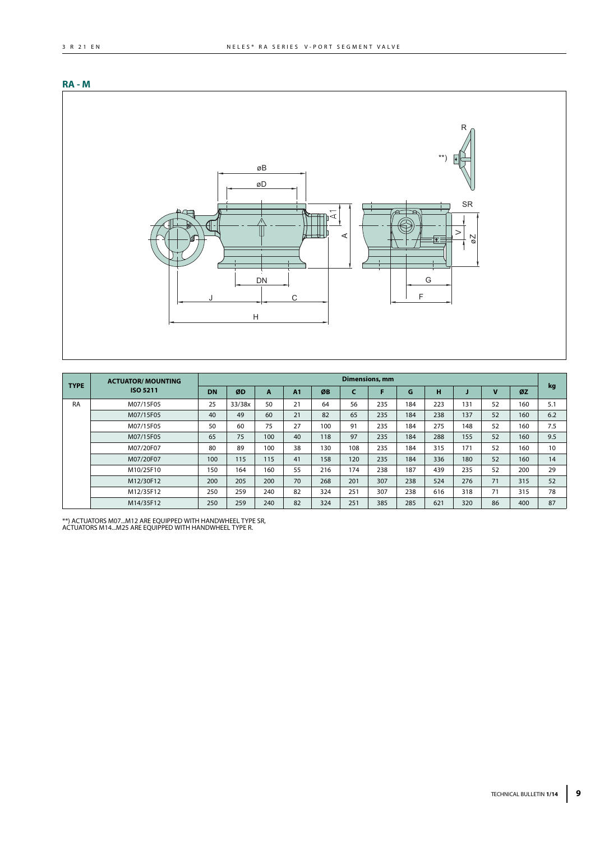## **RA - M**



| <b>TYPE</b> | <b>ACTUATOR/ MOUNTING</b> |           |        |              |    |     |     | Dimensions, mm |     |     |     |    |     |     |
|-------------|---------------------------|-----------|--------|--------------|----|-----|-----|----------------|-----|-----|-----|----|-----|-----|
|             | ISO 5211                  | <b>DN</b> | ØD     | $\mathbf{A}$ | A1 | ØB  |     |                | G   | н   |     | v  | ØZ  | kg  |
| <b>RA</b>   | M07/15F05                 | 25        | 33/38x | 50           | 21 | 64  | 56  | 235            | 184 | 223 | 131 | 52 | 160 | 5.1 |
|             | M07/15F05                 | 40        | 49     | 60           | 21 | 82  | 65  | 235            | 184 | 238 | 137 | 52 | 160 | 6.2 |
|             | M07/15F05                 | 50        | 60     | 75           | 27 | 100 | 91  | 235            | 184 | 275 | 148 | 52 | 160 | 7.5 |
|             | M07/15F05                 | 65        | 75     | 100          | 40 | 118 | 97  | 235            | 184 | 288 | 155 | 52 | 160 | 9.5 |
|             | M07/20F07                 | 80        | 89     | 100          | 38 | 130 | 108 | 235            | 184 | 315 | 171 | 52 | 160 | 10  |
|             | M07/20F07                 | 100       | 115    | 115          | 41 | 158 | 120 | 235            | 184 | 336 | 180 | 52 | 160 | 14  |
|             | M10/25F10                 | 150       | 164    | 160          | 55 | 216 | 174 | 238            | 187 | 439 | 235 | 52 | 200 | 29  |
|             | M12/30F12                 | 200       | 205    | 200          | 70 | 268 | 201 | 307            | 238 | 524 | 276 | 71 | 315 | 52  |
|             | M12/35F12                 | 250       | 259    | 240          | 82 | 324 | 251 | 307            | 238 | 616 | 318 | 71 | 315 | 78  |
|             | M14/35F12                 | 250       | 259    | 240          | 82 | 324 | 251 | 385            | 285 | 621 | 320 | 86 | 400 | 87  |

\*\*) ACTUATORS M07...M12 ARE EQUIPPED WITH HANDWHEEL TYPE SR, ACTUATORS M14...M25 ARE EQUIPPED WITH HANDWHEEL TYPE R.